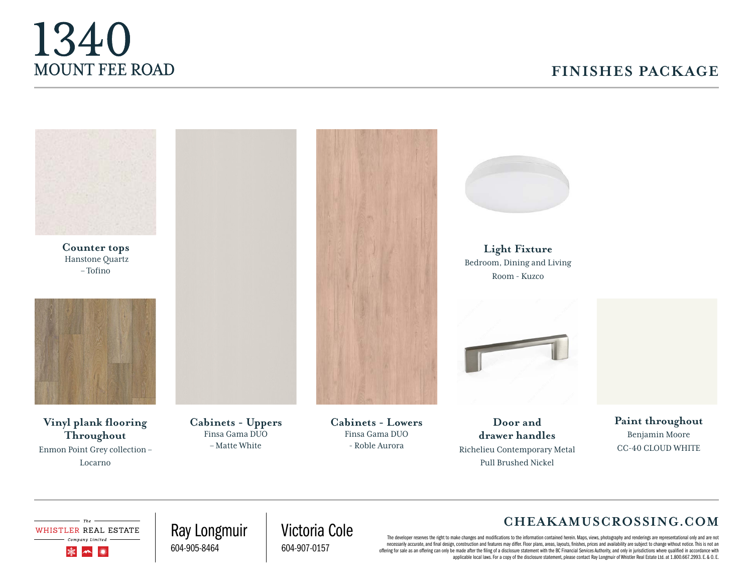# 1340 MOUNT FEE ROAD

## **FINISHES PACKAGE**

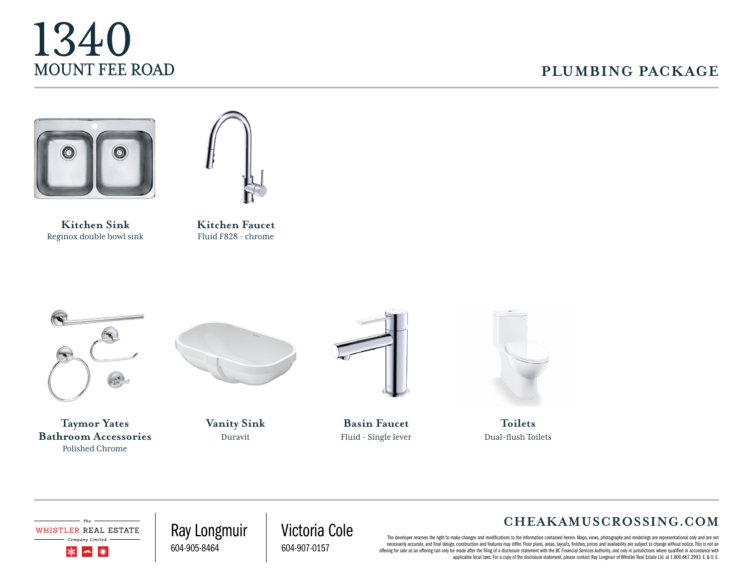

#### **PLUMBING PACKAGE**



Reginox double bowl sink



Kitchen Faucet Fluid F828 - chrome



**Taymor Yates Bathroom Accessories** Polished Chrome



**Vanity Sink**  Duravit



**Basin Faucet**  Fluid - Single lever



**Toilets** Dual-flush Toilets

WHISTLER REAL ESTATE

Company Limited 灤  $\curvearrowleft$ ▓

Ray Longmuir 604-905-8464

Victoria Cole 604-907-0157

#### **CHEAKAMUSCROSSING.COM**

.<br>The developer reserves the right to make changes and modifications to the information contained herein. Maps, views, photography and renderings are representational only and are not necessarily accurate, and final design, construction and features may differ. Floor plans, areas, layouts, finishes, prices and availability are subject to change without notice. This is not an offering for sale as an offering can only be made after the filing of a disclosure statement with the BC Financial Services Authority, and only in jurisdictions where qualified in accordance with applicable local laws. For a copy of the disclosure statement, please contact Ray Longmuir of Whistler Real Estate Ltd. at 1.800.667.2993. E. & O. E.